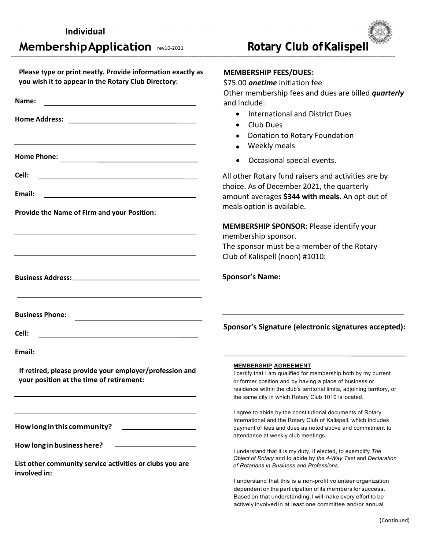| Please type or print neatly. Provide information exactly as<br>you wish it to appear in the Rotary Club Directory:              | <b>MEMBERSHIP FEES/DUES:</b><br>\$75.00 onetime initiation fee<br>Other membership fees and dues are billed quarterly                                                                                                                                                                       |
|---------------------------------------------------------------------------------------------------------------------------------|---------------------------------------------------------------------------------------------------------------------------------------------------------------------------------------------------------------------------------------------------------------------------------------------|
| Name:<br><u> 1980 - Johann Barn, mars ann an t-Amhain Aonaich an t-Aonaich an t-Aonaich ann an t-Aonaich ann an t-Aonaich</u>   | and include:                                                                                                                                                                                                                                                                                |
|                                                                                                                                 | <b>International and District Dues</b><br>$\bullet$<br>Club Dues<br>$\bullet$<br>Donation to Rotary Foundation<br>Weekly meals                                                                                                                                                              |
| <b>Home Phone:</b>                                                                                                              | Occasional special events.<br>$\bullet$                                                                                                                                                                                                                                                     |
| Cell:<br><u> 1989 - Johann Barbara, martxa alemaniar arg</u><br>Email:                                                          | All other Rotary fund raisers and activities are by<br>choice. As of December 2021, the quarterly<br>amount averages \$344 with meals. An opt out of                                                                                                                                        |
| Provide the Name of Firm and your Position:                                                                                     | meals option is available.                                                                                                                                                                                                                                                                  |
|                                                                                                                                 | <b>MEMBERSHIP SPONSOR: Please identify your</b><br>membership sponsor.<br>The sponsor must be a member of the Rotary<br>Club of Kalispell (noon) #1010:                                                                                                                                     |
|                                                                                                                                 | <b>Sponsor's Name:</b>                                                                                                                                                                                                                                                                      |
| <b>Business Phone:</b>                                                                                                          |                                                                                                                                                                                                                                                                                             |
| Cell:                                                                                                                           | Sponsor's Signature (electronic signatures accepted):                                                                                                                                                                                                                                       |
| Email:<br><u> 1989 - Johann Barbara, martin amerikan basar dan berasal dalam basar dalam basar dalam basar dalam basar dala</u> |                                                                                                                                                                                                                                                                                             |
| If retired, please provide your employer/profession and<br>your position at the time of retirement:                             | <b>MEMBERSHIP AGREEMENT</b><br>I certify that I am qualified for membership both by my current<br>or former position and by having a place of business or<br>residence within the club's territorial limits, adjoining territory, or<br>the same city in which Rotary Club 1010 is located. |
| How long in this community?                                                                                                     | I agree to abide by the constitutional documents of Rotary<br>International and the Rotary Club of Kalispell, which includes<br>payment of fees and dues as noted above and commitment to<br>attendance at weekly club meetings.                                                            |
| How long in business here?<br>List other community service activities or clubs you are                                          | I understand that it is my duty, if elected, to exemplify The<br>Object of Rotary and to abide by the 4-Way Test and Declaration<br>of Rotarians in Business and Professions.                                                                                                               |
| involved in:                                                                                                                    | I understand that this is a non-profit volunteer organization<br>dependent on the participation of its members for success.<br>Based on that understanding, I will make every effort to be<br>actively involved in at least one committee and/or annual                                     |